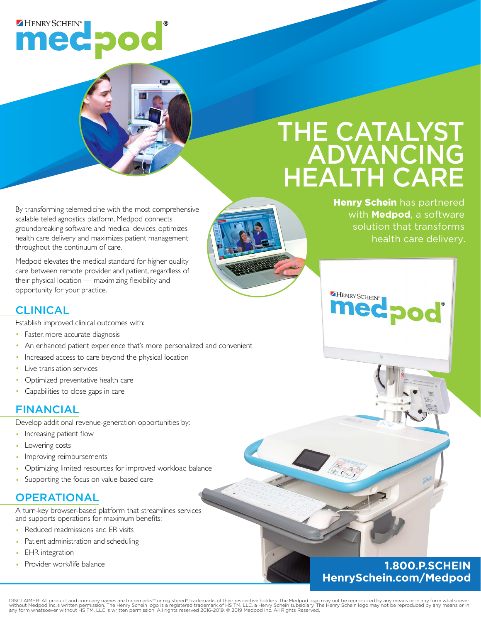## HENRY SCHEIN® medpod

# THE CATALYST ADVANCING HEALTH CARE

HENRY SCHEIN®

J Gradua

By transforming telemedicine with the most comprehensive scalable telediagnostics platform, Medpod connects groundbreaking software and medical devices, optimizes health care delivery and maximizes patient management throughout the continuum of care.

Medpod elevates the medical standard for higher quality care between remote provider and patient, regardless of their physical location — maximizing flexibility and opportunity for your practice.

### CLINICAL

Establish improved clinical outcomes with:

- Faster, more accurate diagnosis
- An enhanced patient experience that's more personalized and convenient
- Increased access to care beyond the physical location
- Live translation services
- Optimized preventative health care
- Capabilities to close gaps in care

### FINANCIAL

Develop additional revenue-generation opportunities by:

- Increasing patient flow
- Lowering costs
- Improving reimbursements
- Optimizing limited resources for improved workload balance
- Supporting the focus on value-based care

### **OPERATIONAL**

A turn-key browser-based platform that streamlines services and supports operations for maximum benefits:

- Reduced readmissions and ER visits
- Patient administration and scheduling
- EHR integration
- 

### • Provider work/life balance **1.800.P.SCHEIN HenrySchein.com/Medpod**

DISCLAIMER: All product and company names are trademarks™ or registered® trademarks of their respective holders. The Medpod logo may not be reproduced by any means or in any form whatsoever<br>without Medpod Inc.'s written p



Henry Schein has partnered with **Medpod**, a software solution that transforms health care delivery.